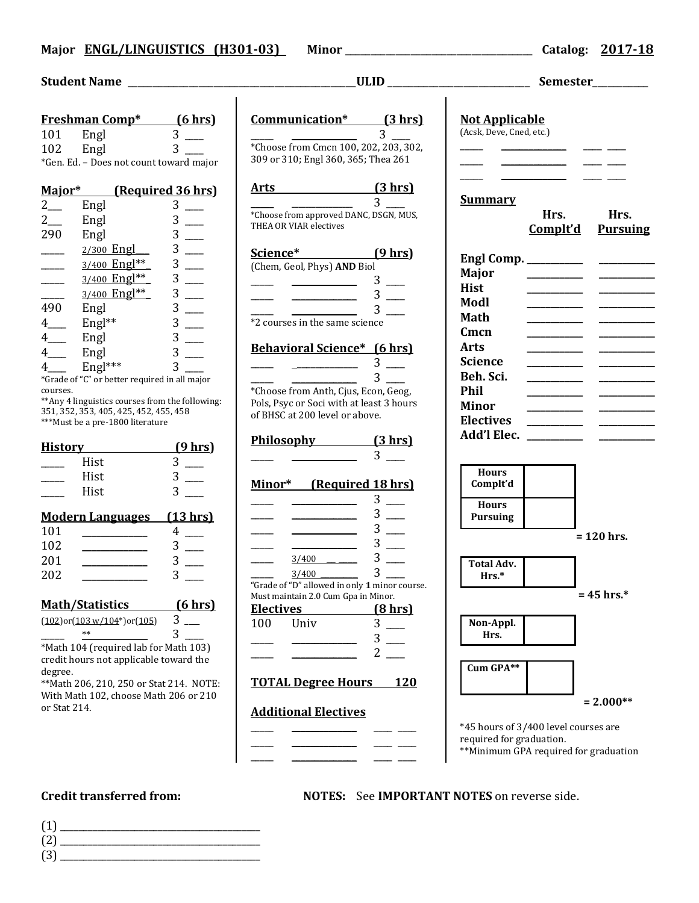## **Major ENGL/LINGUISTICS (H301-03) Minor** \_\_\_\_\_\_\_\_\_\_\_\_\_\_\_\_\_\_\_\_\_\_\_\_\_\_\_\_\_\_\_\_\_\_\_\_\_ **Catalog: 2017-18**

|                                                                                                                                                                                                                                                                                                                                                                                                   |                                                                                                                                                                                                                                                                                                                                                                                                                                                                                                                                                                                                                                                | Semester_________                                                                                                                             |
|---------------------------------------------------------------------------------------------------------------------------------------------------------------------------------------------------------------------------------------------------------------------------------------------------------------------------------------------------------------------------------------------------|------------------------------------------------------------------------------------------------------------------------------------------------------------------------------------------------------------------------------------------------------------------------------------------------------------------------------------------------------------------------------------------------------------------------------------------------------------------------------------------------------------------------------------------------------------------------------------------------------------------------------------------------|-----------------------------------------------------------------------------------------------------------------------------------------------|
| Freshman Comp <sup>*</sup> (6 hrs)<br>$3$ —<br>101<br>Engl $\begin{array}{c} 3 \end{array}$ $\begin{array}{c} 3 \end{array}$<br>102<br>*Gen. Ed. - Does not count toward major                                                                                                                                                                                                                    | Communication* (3 hrs)<br>$\overline{3}$<br>*Choose from Cmcn 100, 202, 203, 302,<br>309 or 310; Engl 360, 365; Thea 261                                                                                                                                                                                                                                                                                                                                                                                                                                                                                                                       | <b>Not Applicable</b><br>(Acsk, Deve, Cned, etc.)                                                                                             |
| Major* (Required 36 hrs)<br>$2$ <sub>—</sub><br>$3$ —<br>Engl<br>$3$ __<br>$2$ <sub>—</sub><br>Engl<br>$3$ —<br>290<br>Engl<br>$3$ —<br>2/300 Engl___<br>$\overline{\phantom{a}}$<br>$\overline{\phantom{a}}$<br>$3$ —<br>3/400 Engl**<br>3/400 Engl**<br>$\overline{\phantom{a}}$<br>$3$ __<br>3/400 Engl**<br>$\overline{\phantom{a}}$<br>$3$ __<br>Engl<br>Engl**<br>490                       | Arts (3 hrs)<br>3 <sup>7</sup><br>*Choose from approved DANC, DSGN, MUS,<br>THEA OR VIAR electives<br>Science* (9 hrs)<br>(Chem, Geol, Phys) AND Biol<br>___ ________ 3 __<br>$\frac{1}{\sqrt{1-\frac{3}{2}}}$ 3<br>$\overline{a}$ and $\overline{a}$ and $\overline{a}$<br>*2 courses in the same science                                                                                                                                                                                                                                                                                                                                     | <b>Summary</b><br>Hrs.<br>Hrs.<br>Complt'd<br><b>Pursuing</b><br><b>Major</b><br><b>Hist</b><br>Modl<br><b>Math</b>                           |
| $3$ __<br>$4$ <sub>____</sub><br>$3$ __<br>Engl<br>$4$ <sub>——</sub><br>$4$ <sub>——</sub><br>Engl<br>Engl <sup>***</sup><br>$\overline{3}$<br>$4\overline{ }$<br>*Grade of "C" or better required in all major<br>courses.<br>** Any 4 linguistics courses from the following:<br>351, 352, 353, 405, 425, 452, 455, 458<br>***Must be a pre-1800 literature<br><b>History History</b><br>(9 hrs) | <b>Behavioral Science*</b> (6 hrs)<br>$\frac{1}{\sqrt{3}}$ $\frac{1}{\sqrt{3}}$ $\frac{1}{\sqrt{3}}$ $\frac{1}{\sqrt{3}}$ $\frac{1}{\sqrt{3}}$ $\frac{1}{\sqrt{3}}$ $\frac{1}{\sqrt{3}}$ $\frac{1}{\sqrt{3}}$ $\frac{1}{\sqrt{3}}$ $\frac{1}{\sqrt{3}}$ $\frac{1}{\sqrt{3}}$ $\frac{1}{\sqrt{3}}$ $\frac{1}{\sqrt{3}}$ $\frac{1}{\sqrt{3}}$ $\frac{1}{\sqrt{3}}$ $\frac{1}{\sqrt{3}}$ $\frac{1}{\sqrt{3}}$<br>$3^{\circ}$<br><u>and a state</u><br>*Choose from Anth, Cjus, Econ, Geog,<br>Pols, Psyc or Soci with at least 3 hours<br>of BHSC at 200 level or above.<br>Philosophy $(3 \text{ hrs})$<br>$ 3 -$<br>$\overline{\phantom{a}3}$ — | Cmcn<br><b>Arts</b><br><b>Science</b><br>Beh. Sci.<br><b>Phil</b><br><b>Minor</b><br><b>Electives</b>                                         |
| $3$ —<br>Hist<br>$3$ —<br>Hist<br>$3^{\circ}$<br>Hist<br><b>Modern Languages</b><br>(13 hrs)<br>$4$ —<br>101<br>102<br>$3$ —<br>___________________<br>$3 \quad \qquad$<br>201<br>$\mathcal{L}^{\text{max}}$ and $\mathcal{L}^{\text{max}}$ . The set of $\mathcal{L}^{\text{max}}$<br>202<br>3<br><b>Math/Statistics</b><br>(6 hrs)<br>$3$ $-$<br>$(102)$ or $(103 \text{ w}/104^*)$ or $(105)$  | Minor* (Required 18 hrs)<br>$3$ —<br>$3$ —<br><u> 1989 - John Stein, Amerikaansk konst</u><br>$3$ —<br>$3$ $-$<br>$3$ —<br>$\frac{3}{400}$<br>3<br>3/400<br>"Grade of "D" allowed in only 1 minor course.<br>Must maintain 2.0 Cum Gpa in Minor.<br><b>Electives</b><br>(8 <sub>hrs</sub> )<br>3<br>100<br>Univ                                                                                                                                                                                                                                                                                                                                | <b>Hours</b><br>Complt'd<br><b>Hours</b><br>Pursuing<br>$= 120$ hrs.<br><b>Total Adv.</b><br>Hrs.*<br>$= 45$ hrs.*<br>Non-Appl.               |
| 3<br>$***$<br>*Math 104 (required lab for Math 103)<br>credit hours not applicable toward the<br>degree.<br>** Math 206, 210, 250 or Stat 214. NOTE:<br>With Math 102, choose Math 206 or 210<br>or Stat 214.                                                                                                                                                                                     | 3<br>2<br><b>TOTAL Degree Hours</b><br><b>120</b><br><b>Additional Electives</b>                                                                                                                                                                                                                                                                                                                                                                                                                                                                                                                                                               | Hrs.<br>Cum GPA**<br>$= 2.000**$<br>*45 hours of 3/400 level courses are<br>required for graduation.<br>**Minimum GPA required for graduation |

**Credit transferred from: NOTES:** See **IMPORTANT NOTES** on reverse side.

- (1) \_\_\_\_\_\_\_\_\_\_\_\_\_\_\_\_\_\_\_\_\_\_\_\_\_\_\_\_\_\_\_\_\_\_\_\_\_\_\_\_\_\_\_ (2) \_\_\_\_\_\_\_\_\_\_\_\_\_\_\_\_\_\_\_\_\_\_\_\_\_\_\_\_\_\_\_\_\_\_\_\_\_\_\_\_\_\_\_
- $(3)$